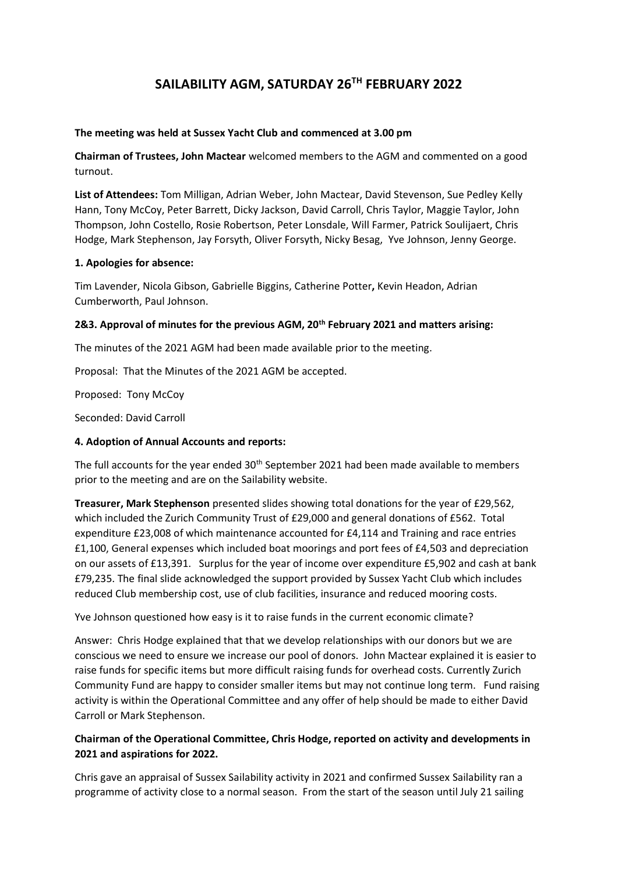# **SAILABILITY AGM, SATURDAY 26TH FEBRUARY 2022**

### **The meeting was held at Sussex Yacht Club and commenced at 3.00 pm**

**Chairman of Trustees, John Mactear** welcomed members to the AGM and commented on a good turnout.

**List of Attendees:** Tom Milligan, Adrian Weber, John Mactear, David Stevenson, Sue Pedley Kelly Hann, Tony McCoy, Peter Barrett, Dicky Jackson, David Carroll, Chris Taylor, Maggie Taylor, John Thompson, John Costello, Rosie Robertson, Peter Lonsdale, Will Farmer, Patrick Soulijaert, Chris Hodge, Mark Stephenson, Jay Forsyth, Oliver Forsyth, Nicky Besag, Yve Johnson, Jenny George.

#### **1. Apologies for absence:**

Tim Lavender, Nicola Gibson, Gabrielle Biggins, Catherine Potter**,** Kevin Headon, Adrian Cumberworth, Paul Johnson.

# **2&3. Approval of minutes for the previous AGM, 20th February 2021 and matters arising:**

The minutes of the 2021 AGM had been made available prior to the meeting.

Proposal: That the Minutes of the 2021 AGM be accepted.

Proposed: Tony McCoy

Seconded: David Carroll

## **4. Adoption of Annual Accounts and reports:**

The full accounts for the year ended 30<sup>th</sup> September 2021 had been made available to members prior to the meeting and are on the Sailability website.

**Treasurer, Mark Stephenson** presented slides showing total donations for the year of £29,562, which included the Zurich Community Trust of £29,000 and general donations of £562. Total expenditure £23,008 of which maintenance accounted for £4,114 and Training and race entries £1,100, General expenses which included boat moorings and port fees of £4,503 and depreciation on our assets of £13,391. Surplus for the year of income over expenditure £5,902 and cash at bank £79,235. The final slide acknowledged the support provided by Sussex Yacht Club which includes reduced Club membership cost, use of club facilities, insurance and reduced mooring costs.

Yve Johnson questioned how easy is it to raise funds in the current economic climate?

Answer: Chris Hodge explained that that we develop relationships with our donors but we are conscious we need to ensure we increase our pool of donors. John Mactear explained it is easier to raise funds for specific items but more difficult raising funds for overhead costs. Currently Zurich Community Fund are happy to consider smaller items but may not continue long term. Fund raising activity is within the Operational Committee and any offer of help should be made to either David Carroll or Mark Stephenson.

# **Chairman of the Operational Committee, Chris Hodge, reported on activity and developments in 2021 and aspirations for 2022.**

Chris gave an appraisal of Sussex Sailability activity in 2021 and confirmed Sussex Sailability ran a programme of activity close to a normal season. From the start of the season until July 21 sailing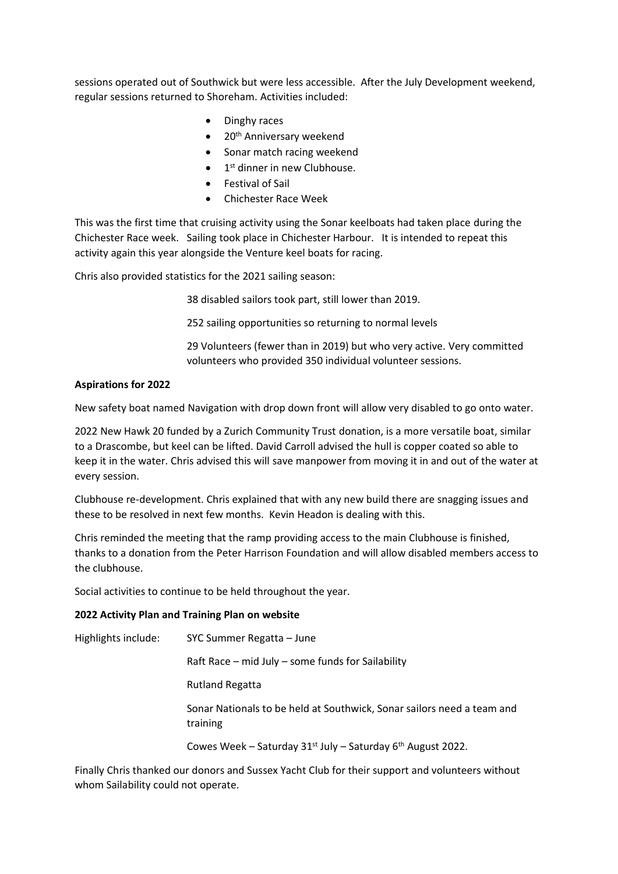sessions operated out of Southwick but were less accessible. After the July Development weekend, regular sessions returned to Shoreham. Activities included:

- Dinghy races
- $\bullet$  20<sup>th</sup> Anniversary weekend
- Sonar match racing weekend
- $\bullet$  1<sup>st</sup> dinner in new Clubhouse.
- Festival of Sail
- Chichester Race Week

This was the first time that cruising activity using the Sonar keelboats had taken place during the Chichester Race week. Sailing took place in Chichester Harbour. It is intended to repeat this activity again this year alongside the Venture keel boats for racing.

Chris also provided statistics for the 2021 sailing season:

38 disabled sailors took part, still lower than 2019.

252 sailing opportunities so returning to normal levels

29 Volunteers (fewer than in 2019) but who very active. Very committed volunteers who provided 350 individual volunteer sessions.

#### **Aspirations for 2022**

New safety boat named Navigation with drop down front will allow very disabled to go onto water.

2022 New Hawk 20 funded by a Zurich Community Trust donation, is a more versatile boat, similar to a Drascombe, but keel can be lifted. David Carroll advised the hull is copper coated so able to keep it in the water. Chris advised this will save manpower from moving it in and out of the water at every session.

Clubhouse re-development. Chris explained that with any new build there are snagging issues and these to be resolved in next few months. Kevin Headon is dealing with this.

Chris reminded the meeting that the ramp providing access to the main Clubhouse is finished, thanks to a donation from the Peter Harrison Foundation and will allow disabled members access to the clubhouse.

Social activities to continue to be held throughout the year.

#### **2022 Activity Plan and Training Plan on website**

Highlights include: SYC Summer Regatta – June Raft Race – mid July – some funds for Sailability Rutland Regatta Sonar Nationals to be held at Southwick, Sonar sailors need a team and training Cowes Week – Saturday  $31^{st}$  July – Saturday 6<sup>th</sup> August 2022.

Finally Chris thanked our donors and Sussex Yacht Club for their support and volunteers without whom Sailability could not operate.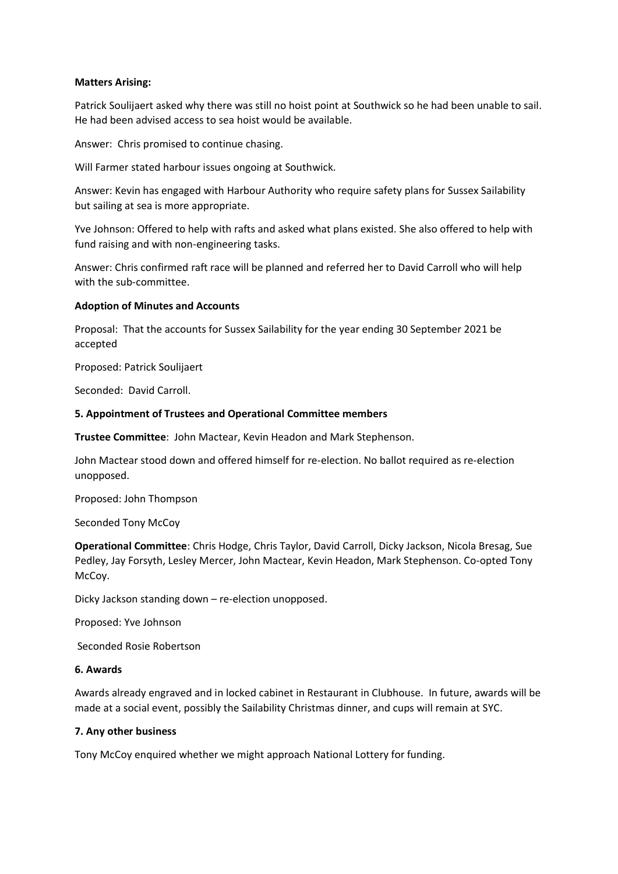#### **Matters Arising:**

Patrick Soulijaert asked why there was still no hoist point at Southwick so he had been unable to sail. He had been advised access to sea hoist would be available.

Answer: Chris promised to continue chasing.

Will Farmer stated harbour issues ongoing at Southwick.

Answer: Kevin has engaged with Harbour Authority who require safety plans for Sussex Sailability but sailing at sea is more appropriate.

Yve Johnson: Offered to help with rafts and asked what plans existed. She also offered to help with fund raising and with non-engineering tasks.

Answer: Chris confirmed raft race will be planned and referred her to David Carroll who will help with the sub-committee.

#### **Adoption of Minutes and Accounts**

Proposal: That the accounts for Sussex Sailability for the year ending 30 September 2021 be accepted

Proposed: Patrick Soulijaert

Seconded: David Carroll.

#### **5. Appointment of Trustees and Operational Committee members**

**Trustee Committee**: John Mactear, Kevin Headon and Mark Stephenson.

John Mactear stood down and offered himself for re-election. No ballot required as re-election unopposed.

Proposed: John Thompson

Seconded Tony McCoy

**Operational Committee**: Chris Hodge, Chris Taylor, David Carroll, Dicky Jackson, Nicola Bresag, Sue Pedley, Jay Forsyth, Lesley Mercer, John Mactear, Kevin Headon, Mark Stephenson. Co-opted Tony McCoy.

Dicky Jackson standing down – re-election unopposed.

Proposed: Yve Johnson

Seconded Rosie Robertson

#### **6. Awards**

Awards already engraved and in locked cabinet in Restaurant in Clubhouse. In future, awards will be made at a social event, possibly the Sailability Christmas dinner, and cups will remain at SYC.

#### **7. Any other business**

Tony McCoy enquired whether we might approach National Lottery for funding.